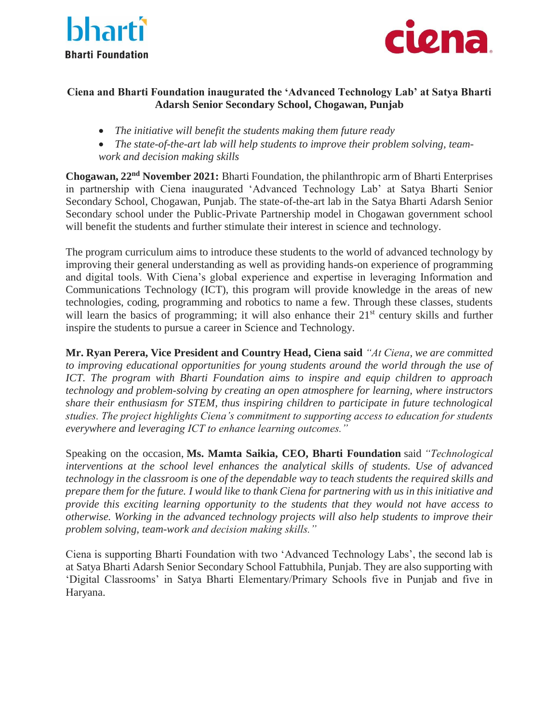



# **Ciena and Bharti Foundation inaugurated the 'Advanced Technology Lab' at Satya Bharti Adarsh Senior Secondary School, Chogawan, Punjab**

- *The initiative will benefit the students making them future ready*
- The state-of-the-art lab will help students to improve their problem solving, team*work and decision making skills*

**Chogawan, 22nd November 2021:** Bharti Foundation, the philanthropic arm of Bharti Enterprises in partnership with Ciena inaugurated 'Advanced Technology Lab' at Satya Bharti Senior Secondary School, Chogawan, Punjab. The state-of-the-art lab in the Satya Bharti Adarsh Senior Secondary school under the Public-Private Partnership model in Chogawan government school will benefit the students and further stimulate their interest in science and technology.

The program curriculum aims to introduce these students to the world of advanced technology by improving their general understanding as well as providing hands-on experience of programming and digital tools. With Ciena's global experience and expertise in leveraging Information and Communications Technology (ICT), this program will provide knowledge in the areas of new technologies, coding, programming and robotics to name a few. Through these classes, students will learn the basics of programming; it will also enhance their  $21<sup>st</sup>$  century skills and further inspire the students to pursue a career in Science and Technology.

**Mr. Ryan Perera, Vice President and Country Head, Ciena said** *"At Ciena, we are committed to improving educational opportunities for young students around the world through the use of ICT. The program with Bharti Foundation aims to inspire and equip children to approach technology and problem-solving by creating an open atmosphere for learning, where instructors share their enthusiasm for STEM, thus inspiring children to participate in future technological studies. The project highlights Ciena's commitment to supporting access to education for students everywhere and leveraging ICT to enhance learning outcomes."*

Speaking on the occasion, **Ms. Mamta Saikia, CEO, Bharti Foundation** said *"Technological interventions at the school level enhances the analytical skills of students. Use of advanced technology in the classroom is one of the dependable way to teach students the required skills and prepare them for the future. I would like to thank Ciena for partnering with us in this initiative and provide this exciting learning opportunity to the students that they would not have access to otherwise. Working in the advanced technology projects will also help students to improve their problem solving, team-work and decision making skills."*

Ciena is supporting Bharti Foundation with two 'Advanced Technology Labs', the second lab is at Satya Bharti Adarsh Senior Secondary School Fattubhila, Punjab. They are also supporting with 'Digital Classrooms' in Satya Bharti Elementary/Primary Schools five in Punjab and five in Haryana.